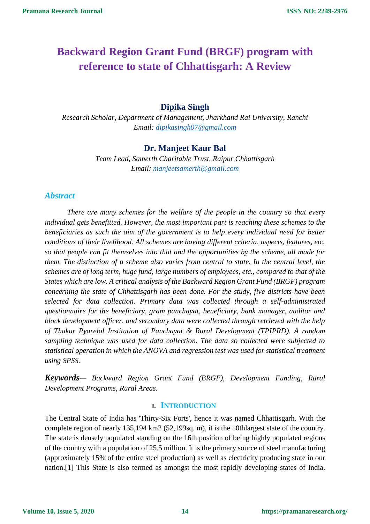# **Backward Region Grant Fund (BRGF) program with reference to state of Chhattisgarh: A Review**

## **Dipika Singh**

*Research Scholar, Department of Management, Jharkhand Rai University, Ranchi Email: [dipikasingh07@gmail.com](mailto:dipikasingh07@gmail.com)*

## **Dr. Manjeet Kaur Bal**

*Team Lead, Samerth Charitable Trust, Raipur Chhattisgarh Email: [manjeetsamerth@gmail.com](mailto:manjeetsamerth@gmail.com)*

## *Abstract*

*There are many schemes for the welfare of the people in the country so that every individual gets benefitted. However, the most important part is reaching these schemes to the beneficiaries as such the aim of the government is to help every individual need for better conditions of their livelihood. All schemes are having different criteria, aspects, features, etc. so that people can fit themselves into that and the opportunities by the scheme, all made for them. The distinction of a scheme also varies from central to state. In the central level, the schemes are of long term, huge fund, large numbers of employees, etc., compared to that of the States which are low. A critical analysis of the Backward Region Grant Fund (BRGF) program concerning the state of Chhattisgarh has been done. For the study, five districts have been selected for data collection. Primary data was collected through a self-administrated questionnaire for the beneficiary, gram panchayat, beneficiary, bank manager, auditor and block development officer, and secondary data were collected through retrieved with the help of Thakur Pyarelal Institution of Panchayat & Rural Development (TPIPRD). A random sampling technique was used for data collection. The data so collected were subjected to statistical operation in which the ANOVA and regression test was used for statistical treatment using SPSS.*

*Keywords— Backward Region Grant Fund (BRGF), Development Funding, Rural Development Programs, Rural Areas.*

#### **I. INTRODUCTION**

The Central State of India has 'Thirty-Six Forts', hence it was named Chhattisgarh. With the complete region of nearly 135,194 km2 (52,199sq. m), it is the 10thlargest state of the country. The state is densely populated standing on the 16th position of being highly populated regions of the country with a population of 25.5 million. It is the primary source of steel manufacturing (approximately 15% of the entire steel production) as well as electricity producing state in our nation.[1] This State is also termed as amongst the most rapidly developing states of India.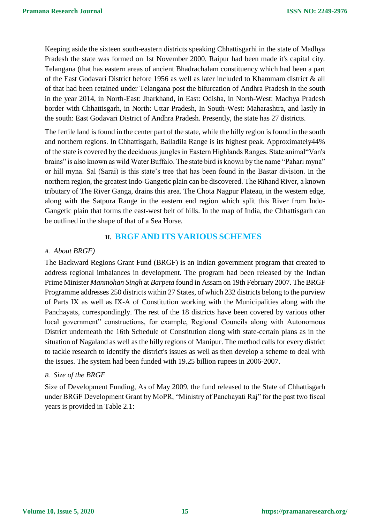Keeping aside the sixteen south-eastern districts speaking Chhattisgarhi in the state of Madhya Pradesh the state was formed on 1st November 2000. Raipur had been made it's capital city. Telangana (that has eastern areas of ancient Bhadrachalam constituency which had been a part of the East Godavari District before 1956 as well as later included to Khammam district & all of that had been retained under Telangana post the bifurcation of Andhra Pradesh in the south in the year 2014, in North-East: Jharkhand, in East: Odisha, in North-West: Madhya Pradesh border with Chhattisgarh, in North: Uttar Pradesh, In South-West: Maharashtra, and lastly in the south: East Godavari District of Andhra Pradesh. Presently, the state has 27 districts.

The fertile land is found in the center part of the state, while the hilly region is found in the south and northern regions. In Chhattisgarh, Bailadila Range is its highest peak. Approximately44% of the state is covered by the deciduous jungles in Eastern Highlands Ranges. State animal"Van's brains" is also known as wild Water Buffalo. The state bird is known by the name "Pahari myna" or hill myna. Sal (Sarai) is this state's tree that has been found in the Bastar division. In the northern region, the greatest Indo-Gangetic plain can be discovered. The Rihand River, a known tributary of The River Ganga, drains this area. The Chota Nagpur Plateau, in the western edge, along with the Satpura Range in the eastern end region which split this River from Indo-Gangetic plain that forms the east-west belt of hills. In the map of India, the Chhattisgarh can be outlined in the shape of that of a Sea Horse.

## **II. BRGF AND ITS VARIOUS SCHEMES**

#### *A. About BRGF)*

The Backward Regions Grant Fund (BRGF) is an Indian government program that created to address regional imbalances in development. The program had been released by the Indian Prime Minister *Manmohan Singh* at *Barpeta* found in Assam on 19th February 2007. The BRGF Programme addresses 250 districts within 27 States, of which 232 districts belong to the purview of Parts IX as well as IX-A of Constitution working with the Municipalities along with the Panchayats, correspondingly. The rest of the 18 districts have been covered by various other local government" constructions, for example, Regional Councils along with Autonomous District underneath the 16th Schedule of Constitution along with state-certain plans as in the situation of Nagaland as well as the hilly regions of Manipur. The method calls for every district to tackle research to identify the district's issues as well as then develop a scheme to deal with the issues. The system had been funded with 19.25 billion rupees in 2006-2007.

#### *B. Size of the BRGF*

Size of Development Funding, As of May 2009, the fund released to the State of Chhattisgarh under BRGF Development Grant by MoPR, "Ministry of Panchayati Raj" for the past two fiscal years is provided in Table 2.1: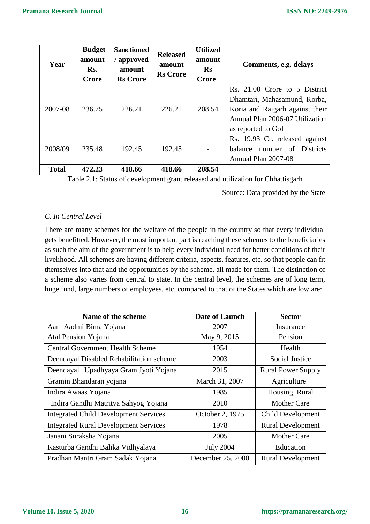| Year         | <b>Budget</b><br>amount<br>Rs.<br>Crore | <b>Sanctioned</b><br>approved<br>amount<br><b>Rs</b> Crore | <b>Released</b><br>amount<br><b>Rs</b> Crore | <b>Utilized</b><br>amount<br><b>Rs</b><br><b>Crore</b> | Comments, e.g. delays                                                                                                                                     |
|--------------|-----------------------------------------|------------------------------------------------------------|----------------------------------------------|--------------------------------------------------------|-----------------------------------------------------------------------------------------------------------------------------------------------------------|
| 2007-08      | 236.75                                  | 226.21                                                     | 226.21                                       | 208.54                                                 | Rs. 21.00 Crore to 5 District<br>Dhamtari, Mahasamund, Korba,<br>Koria and Raigarh against their<br>Annual Plan 2006-07 Utilization<br>as reported to GoI |
| 2008/09      | 235.48                                  | 192.45                                                     | 192.45                                       |                                                        | Rs. 19.93 Cr. released against<br>number of Districts<br>balance<br>Annual Plan 2007-08                                                                   |
| <b>Total</b> | 472.23                                  | 418.66                                                     | 418.66                                       | 208.54                                                 |                                                                                                                                                           |

Table 2.1: Status of development grant released and utilization for Chhattisgarh

Source: Data provided by the State

## *C. In Central Level*

There are many schemes for the welfare of the people in the country so that every individual gets benefitted. However, the most important part is reaching these schemes to the beneficiaries as such the aim of the government is to help every individual need for better conditions of their livelihood. All schemes are having different criteria, aspects, features, etc. so that people can fit themselves into that and the opportunities by the scheme, all made for them. The distinction of a scheme also varies from central to state. In the central level, the schemes are of long term, huge fund, large numbers of employees, etc, compared to that of the States which are low are:

| Name of the scheme                           | <b>Date of Launch</b> | <b>Sector</b>             |
|----------------------------------------------|-----------------------|---------------------------|
| Aam Aadmi Bima Yojana                        | 2007                  | Insurance                 |
| Atal Pension Yojana                          | May 9, 2015           | Pension                   |
| <b>Central Government Health Scheme</b>      | 1954                  | Health                    |
| Deendayal Disabled Rehabilitation scheme     | 2003                  | <b>Social Justice</b>     |
| Deendayal Upadhyaya Gram Jyoti Yojana        | 2015                  | <b>Rural Power Supply</b> |
| Gramin Bhandaran yojana                      | March 31, 2007        | Agriculture               |
| Indira Awaas Yojana                          | 1985                  | Housing, Rural            |
| Indira Gandhi Matritva Sahyog Yojana         | 2010                  | <b>Mother Care</b>        |
| <b>Integrated Child Development Services</b> | October 2, 1975       | Child Development         |
| <b>Integrated Rural Development Services</b> | 1978                  | <b>Rural Development</b>  |
| Janani Suraksha Yojana                       | 2005                  | <b>Mother Care</b>        |
| Kasturba Gandhi Balika Vidhyalaya            | <b>July 2004</b>      | Education                 |
| Pradhan Mantri Gram Sadak Yojana             | December 25, 2000     | <b>Rural Development</b>  |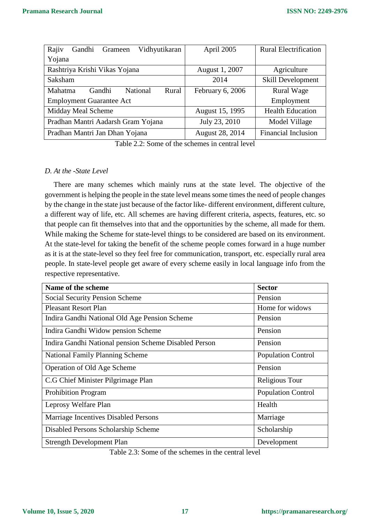| Rajiv<br>Vidhyutikaran<br>Gandhi<br>Grameen | April 2005       | <b>Rural Electrification</b> |  |
|---------------------------------------------|------------------|------------------------------|--|
| Yojana                                      |                  |                              |  |
| Rashtriya Krishi Vikas Yojana               | August 1, 2007   | Agriculture                  |  |
| Saksham                                     | 2014             | Skill Development            |  |
| National<br>Mahatma<br>Rural<br>Gandhi      | February 6, 2006 | <b>Rural Wage</b>            |  |
| <b>Employment Guarantee Act</b>             |                  | Employment                   |  |
| Midday Meal Scheme                          | August 15, 1995  | <b>Health Education</b>      |  |
| Pradhan Mantri Aadarsh Gram Yojana          | July 23, 2010    | Model Village                |  |
| Pradhan Mantri Jan Dhan Yojana              | August 28, 2014  | <b>Financial Inclusion</b>   |  |

Table 2.2: Some of the schemes in central level

#### *D. At the -State Level*

There are many schemes which mainly runs at the state level. The objective of the government is helping the people in the state level means some times the need of people changes by the change in the state just because of the factor like- different environment, different culture, a different way of life, etc. All schemes are having different criteria, aspects, features, etc. so that people can fit themselves into that and the opportunities by the scheme, all made for them. While making the Scheme for state-level things to be considered are based on its environment. At the state-level for taking the benefit of the scheme people comes forward in a huge number as it is at the state-level so they feel free for communication, transport, etc. especially rural area people. In state-level people get aware of every scheme easily in local language info from the respective representative.

| Name of the scheme                                    | <b>Sector</b>             |
|-------------------------------------------------------|---------------------------|
| <b>Social Security Pension Scheme</b>                 | Pension                   |
| <b>Pleasant Resort Plan</b>                           | Home for widows           |
| Indira Gandhi National Old Age Pension Scheme         | Pension                   |
| Indira Gandhi Widow pension Scheme                    | Pension                   |
| Indira Gandhi National pension Scheme Disabled Person | Pension                   |
| <b>National Family Planning Scheme</b>                | <b>Population Control</b> |
| Operation of Old Age Scheme                           | Pension                   |
| C.G Chief Minister Pilgrimage Plan                    | Religious Tour            |
| <b>Prohibition Program</b>                            | <b>Population Control</b> |
| Leprosy Welfare Plan                                  | Health                    |
| Marriage Incentives Disabled Persons                  | Marriage                  |
| Disabled Persons Scholarship Scheme                   | Scholarship               |
| <b>Strength Development Plan</b>                      | Development               |

Table 2.3: Some of the schemes in the central level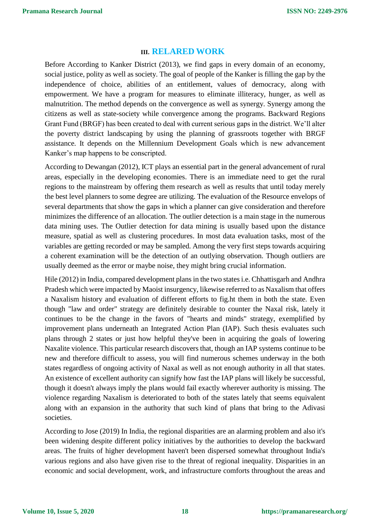## **III. RELARED WORK**

Before According to Kanker District (2013), we find gaps in every domain of an economy, social justice, polity as well as society. The goal of people of the Kanker is filling the gap by the independence of choice, abilities of an entitlement, values of democracy, along with empowerment. We have a program for measures to eliminate illiteracy, hunger, as well as malnutrition. The method depends on the convergence as well as synergy. Synergy among the citizens as well as state-society while convergence among the programs. Backward Regions Grant Fund (BRGF) has been created to deal with current serious gaps in the district. We'll alter the poverty district landscaping by using the planning of grassroots together with BRGF assistance. It depends on the Millennium Development Goals which is new advancement Kanker's map happens to be conscripted.

According to Dewangan (2012), ICT plays an essential part in the general advancement of rural areas, especially in the developing economies. There is an immediate need to get the rural regions to the mainstream by offering them research as well as results that until today merely the best level planners to some degree are utilizing. The evaluation of the Resource envelops of several departments that show the gaps in which a planner can give consideration and therefore minimizes the difference of an allocation. The outlier detection is a main stage in the numerous data mining uses. The Outlier detection for data mining is usually based upon the distance measure, spatial as well as clustering procedures. In most data evaluation tasks, most of the variables are getting recorded or may be sampled. Among the very first steps towards acquiring a coherent examination will be the detection of an outlying observation. Though outliers are usually deemed as the error or maybe noise, they might bring crucial information.

Hile (2012) in India, compared development plans in the two states i.e. Chhattisgarh and Andhra Pradesh which were impacted by Maoist insurgency, likewise referred to as Naxalism that offers a Naxalism history and evaluation of different efforts to fig.ht them in both the state. Even though "law and order" strategy are definitely desirable to counter the Naxal risk, lately it continues to be the change in the favors of "hearts and minds" strategy, exemplified by improvement plans underneath an Integrated Action Plan (IAP). Such thesis evaluates such plans through 2 states or just how helpful they've been in acquiring the goals of lowering Naxalite violence. This particular research discovers that, though an IAP systems continue to be new and therefore difficult to assess, you will find numerous schemes underway in the both states regardless of ongoing activity of Naxal as well as not enough authority in all that states. An existence of excellent authority can signify how fast the IAP plans will likely be successful, though it doesn't always imply the plans would fail exactly wherever authority is missing. The violence regarding Naxalism is deteriorated to both of the states lately that seems equivalent along with an expansion in the authority that such kind of plans that bring to the Adivasi societies.

According to Jose (2019) In India, the regional disparities are an alarming problem and also it's been widening despite different policy initiatives by the authorities to develop the backward areas. The fruits of higher development haven't been dispersed somewhat throughout India's various regions and also have given rise to the threat of regional inequality. Disparities in an economic and social development, work, and infrastructure comforts throughout the areas and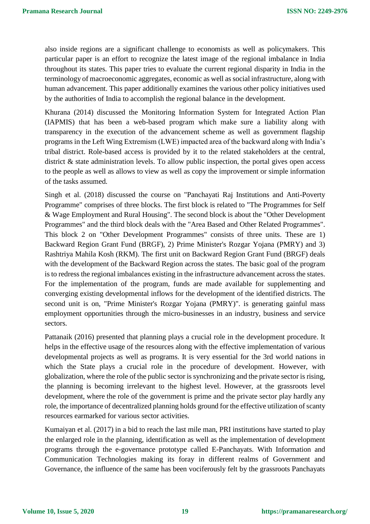also inside regions are a significant challenge to economists as well as policymakers. This particular paper is an effort to recognize the latest image of the regional imbalance in India throughout its states. This paper tries to evaluate the current regional disparity in India in the terminology of macroeconomic aggregates, economic as well as social infrastructure, along with human advancement. This paper additionally examines the various other policy initiatives used by the authorities of India to accomplish the regional balance in the development.

Khurana (2014) discussed the Monitoring Information System for Integrated Action Plan (IAPMIS) that has been a web-based program which make sure a liability along with transparency in the execution of the advancement scheme as well as government flagship programs in the Left Wing Extremism (LWE) impacted area of the backward along with India's tribal district. Role-based access is provided by it to the related stakeholders at the central, district & state administration levels. To allow public inspection, the portal gives open access to the people as well as allows to view as well as copy the improvement or simple information of the tasks assumed.

Singh et al. (2018) discussed the course on "Panchayati Raj Institutions and Anti-Poverty Programme" comprises of three blocks. The first block is related to "The Programmes for Self & Wage Employment and Rural Housing". The second block is about the "Other Development Programmes" and the third block deals with the "Area Based and Other Related Programmes". This block 2 on "Other Development Programmes" consists of three units. These are 1) Backward Region Grant Fund (BRGF), 2) Prime Minister's Rozgar Yojana (PMRY) and 3) Rashtriya Mahila Kosh (RKM). The first unit on Backward Region Grant Fund (BRGF) deals with the development of the Backward Region across the states. The basic goal of the program is to redress the regional imbalances existing in the infrastructure advancement across the states. For the implementation of the program, funds are made available for supplementing and converging existing developmental inflows for the development of the identified districts. The second unit is on, "Prime Minister's Rozgar Yojana (PMRY)". is generating gainful mass employment opportunities through the micro-businesses in an industry, business and service sectors.

Pattanaik (2016) presented that planning plays a crucial role in the development procedure. It helps in the effective usage of the resources along with the effective implementation of various developmental projects as well as programs. It is very essential for the 3rd world nations in which the State plays a crucial role in the procedure of development. However, with globalization, where the role of the public sector is synchronizing and the private sector is rising, the planning is becoming irrelevant to the highest level. However, at the grassroots level development, where the role of the government is prime and the private sector play hardly any role, the importance of decentralized planning holds ground for the effective utilization of scanty resources earmarked for various sector activities.

Kumaiyan et al. (2017) in a bid to reach the last mile man, PRI institutions have started to play the enlarged role in the planning, identification as well as the implementation of development programs through the e-governance prototype called E-Panchayats. With Information and Communication Technologies making its foray in different realms of Government and Governance, the influence of the same has been vociferously felt by the grassroots Panchayats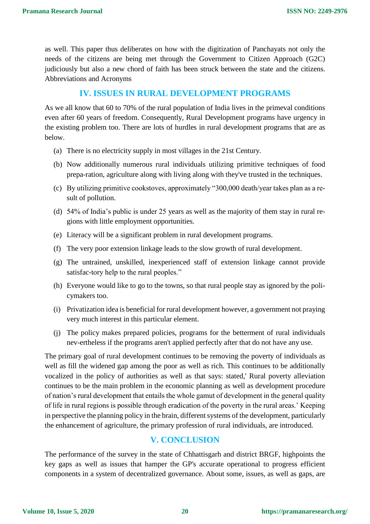as well. This paper thus deliberates on how with the digitization of Panchayats not only the needs of the citizens are being met through the Government to Citizen Approach (G2C) judiciously but also a new chord of faith has been struck between the state and the citizens. Abbreviations and Acronyms

# **IV. ISSUES IN RURAL DEVELOPMENT PROGRAMS**

As we all know that 60 to 70% of the rural population of India lives in the primeval conditions even after 60 years of freedom. Consequently, Rural Development programs have urgency in the existing problem too. There are lots of hurdles in rural development programs that are as below.

- (a) There is no electricity supply in most villages in the 21st Century.
- (b) Now additionally numerous rural individuals utilizing primitive techniques of food prepa-ration, agriculture along with living along with they've trusted in the techniques.
- (c) By utilizing primitive cookstoves, approximately "300,000 death/year takes plan as a result of pollution.
- (d) 54% of India's public is under 25 years as well as the majority of them stay in rural regions with little employment opportunities.
- (e) Literacy will be a significant problem in rural development programs.
- (f) The very poor extension linkage leads to the slow growth of rural development.
- (g) The untrained, unskilled, inexperienced staff of extension linkage cannot provide satisfac-tory help to the rural peoples."
- (h) Everyone would like to go to the towns, so that rural people stay as ignored by the policymakers too.
- (i) Privatization idea is beneficial for rural development however, a government not praying very much interest in this particular element.
- (j) The policy makes prepared policies, programs for the betterment of rural individuals nev-ertheless if the programs aren't applied perfectly after that do not have any use.

The primary goal of rural development continues to be removing the poverty of individuals as well as fill the widened gap among the poor as well as rich. This continues to be additionally vocalized in the policy of authorities as well as that says: stated,' Rural poverty alleviation continues to be the main problem in the economic planning as well as development procedure of nation's rural development that entails the whole gamut of development in the general quality of life in rural regions is possible through eradication of the poverty in the rural areas.' Keeping in perspective the planning policy in the brain, different systems of the development, particularly the enhancement of agriculture, the primary profession of rural individuals, are introduced.

# **V. CONCLUSION**

The performance of the survey in the state of Chhattisgarh and district BRGF, highpoints the key gaps as well as issues that hamper the GP's accurate operational to progress efficient components in a system of decentralized governance. About some, issues, as well as gaps, are